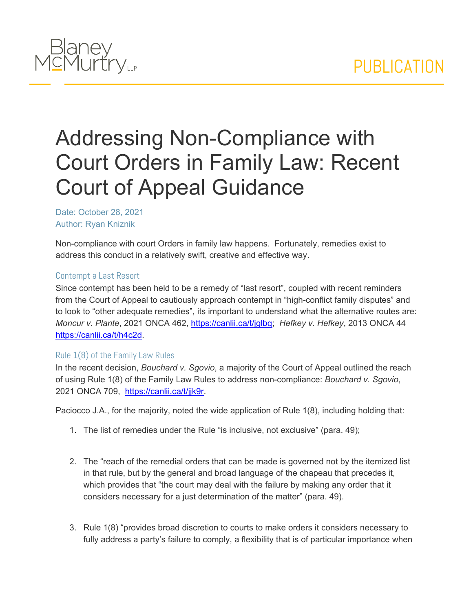

## Addressing Non-Compliance with Court Orders in Family Law: Recent Court of Appeal Guidance

Date: October 28, 2021 Author: Ryan Kniznik

Non-compliance with court Orders in family law happens. Fortunately, remedies exist to address this conduct in a relatively swift, creative and effective way.

## Contempt a Last Resort

Since contempt has been held to be a remedy of "last resort", coupled with recent reminders from the Court of Appeal to cautiously approach contempt in "high-conflict family disputes" and to look to "other adequate remedies", its important to understand what the alternative routes are: *Moncur v. Plante*, 2021 ONCA 462, [https://canlii.ca/t/jglbq;](https://canlii.ca/t/jglbq) *Hefkey v. Hefkey*, 2013 ONCA 44 [https://canlii.ca/t/h4c2d.](https://canlii.ca/t/h4c2d)

## Rule 1(8) of the Family Law Rules

In the recent decision, *Bouchard v. Sgovio*, a majority of the Court of Appeal outlined the reach of using Rule 1(8) of the Family Law Rules to address non-compliance: *Bouchard v. Sgovio*, 2021 ONCA 709, [https://canlii.ca/t/jjk9r.](https://canlii.ca/t/jjk9r)

Paciocco J.A., for the majority, noted the wide application of Rule 1(8), including holding that:

- 1. The list of remedies under the Rule "is inclusive, not exclusive" (para. 49);
- 2. The "reach of the remedial orders that can be made is governed not by the itemized list in that rule, but by the general and broad language of the chapeau that precedes it, which provides that "the court may deal with the failure by making any order that it considers necessary for a just determination of the matter" (para. 49).
- 3. Rule 1(8) "provides broad discretion to courts to make orders it considers necessary to fully address a party's failure to comply, a flexibility that is of particular importance when